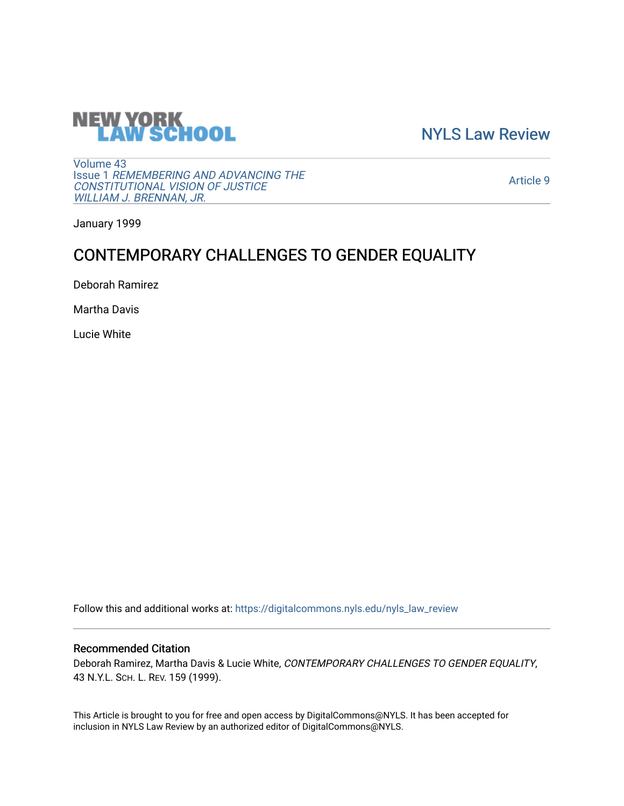

[NYLS Law Review](https://digitalcommons.nyls.edu/nyls_law_review) 

[Volume 43](https://digitalcommons.nyls.edu/nyls_law_review/vol43) Issue 1 [REMEMBERING AND ADVANCING THE](https://digitalcommons.nyls.edu/nyls_law_review/vol43/iss1)  [CONSTITUTIONAL VISION OF JUSTICE](https://digitalcommons.nyls.edu/nyls_law_review/vol43/iss1)  [WILLIAM J. BRENNAN, JR.](https://digitalcommons.nyls.edu/nyls_law_review/vol43/iss1)

[Article 9](https://digitalcommons.nyls.edu/nyls_law_review/vol43/iss1/9) 

January 1999

# CONTEMPORARY CHALLENGES TO GENDER EQUALITY

Deborah Ramirez

Martha Davis

Lucie White

Follow this and additional works at: [https://digitalcommons.nyls.edu/nyls\\_law\\_review](https://digitalcommons.nyls.edu/nyls_law_review?utm_source=digitalcommons.nyls.edu%2Fnyls_law_review%2Fvol43%2Fiss1%2F9&utm_medium=PDF&utm_campaign=PDFCoverPages) 

# Recommended Citation

Deborah Ramirez, Martha Davis & Lucie White, CONTEMPORARY CHALLENGES TO GENDER EQUALITY, 43 N.Y.L. SCH. L. REV. 159 (1999).

This Article is brought to you for free and open access by DigitalCommons@NYLS. It has been accepted for inclusion in NYLS Law Review by an authorized editor of DigitalCommons@NYLS.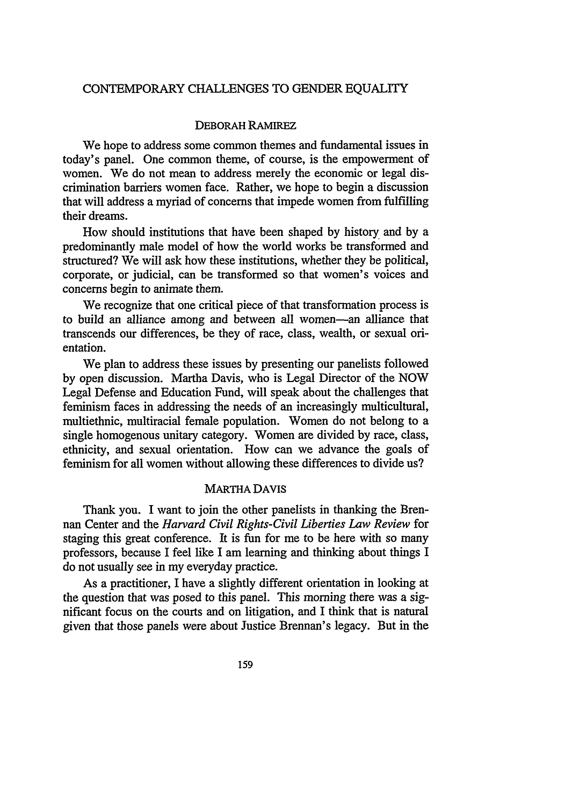#### CONTEMPORARY CHALLENGES TO GENDER EQUALITY

#### DEBORAH RAMIREZ

We hope to address some common themes and fundamental issues in today's panel. One common theme, of course, is the empowerment of women. We do not mean to address merely the economic or legal discrimination barriers women face. Rather, we hope to begin a discussion that will address a myriad of concerns that impede women from fulfilling their dreams.

How should institutions that have been shaped by history, and by a predominantly male model of how the world works be transformed and structured? We will ask how these institutions, whether they be political, corporate, or judicial, can be transformed so that women's voices and concerns begin to animate them.

We recognize that one critical piece of that transformation process is to build an alliance among and between all women-an alliance that transcends our differences, be they of race, class, wealth, or sexual orientation.

We plan to address these issues by presenting our panelists followed by open discussion. Martha Davis, who is Legal Director of the NOW Legal Defense and Education Fund, will speak about the challenges that feminism faces in addressing the needs of an increasingly multicultural, multiethnic, multiracial female population. Women do not belong to a single homogenous unitary category. Women are divided by race, class, ethnicity, and sexual orientation. How can we advance the goals of feminism for all women without allowing these differences to divide us?

#### MARTHA DAVIS

Thank you. I want to join the other panelists in thanking the Brennan Center and the *Harvard Civil Rights-Civil Liberties Law Review* for staging this great conference. It is fun for me to be here with so many professors, because I feel like I am learning and thinking about things I do not usually see in my everyday practice.

As a practitioner, I have a slightly different orientation in looking at the question that was posed to this panel. This morning there was a significant focus on the courts and on litigation, and I think that is natural given that those panels were about Justice Brennan's legacy. But in the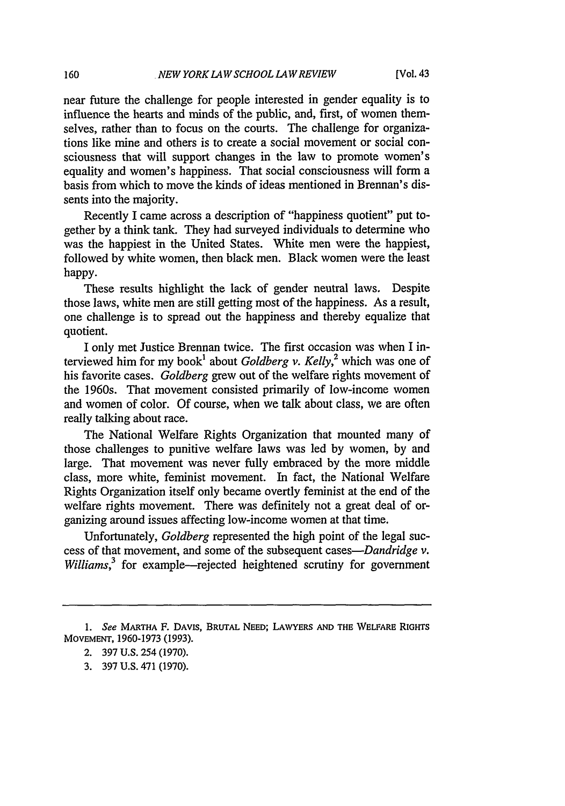near future the challenge for people interested in gender equality is to influence the hearts and minds of the public, and, first, of women themselves, rather than to focus on the courts. The challenge for organizations like mine and others is to create a social movement or social consciousness that will support changes in the law to promote women's equality and women's happiness. That social consciousness will form a basis from which to move the kinds of ideas mentioned in Brennan's dissents into the majority.

Recently I came across a description of "happiness quotient" put together by a think tank. They had surveyed individuals to determine who was the happiest in the United States. White men were the happiest, followed by white women, then black men. Black women were the least happy.

These results highlight the lack of gender neutral laws. Despite those laws, white men are still getting most of the happiness. As a result, one challenge is to spread out the happiness and thereby equalize that quotient.

I only met Justice Brennan twice. The first occasion was when I interviewed him for my book' about *Goldberg v. Kelly,2* which was one of his favorite cases. *Goldberg* grew out of the welfare rights movement of the 1960s. That movement consisted primarily of low-income women and women of color. Of course, when we talk about class, we are often really talking about race.

The National Welfare Rights Organization that mounted many of those challenges to punitive welfare laws was led by women, by and large. That movement was never fully embraced by the more middle class, more white, feminist movement. In fact, the National Welfare Rights Organization itself only became overtly feminist at the end of the welfare rights movement. There was definitely not a great deal of organizing around issues affecting low-income women at that time.

Unfortunately, *Goldberg* represented the high point of the legal success of that movement, and some of the subsequent *cases-Dandridge v. Williams*,<sup>3</sup> for example—rejected heightened scrutiny for government

*<sup>1.</sup> See* **MARTHA** F. **DAVIS, BRUTAL NEED; LAWYERS AND THE WELFARE RIGHTS MOVEMENT, 1960-1973 (1993).**

<sup>2.</sup> **397 U.S.** 254 **(1970).**

**<sup>3. 397</sup> U.S.** 471 **(1970).**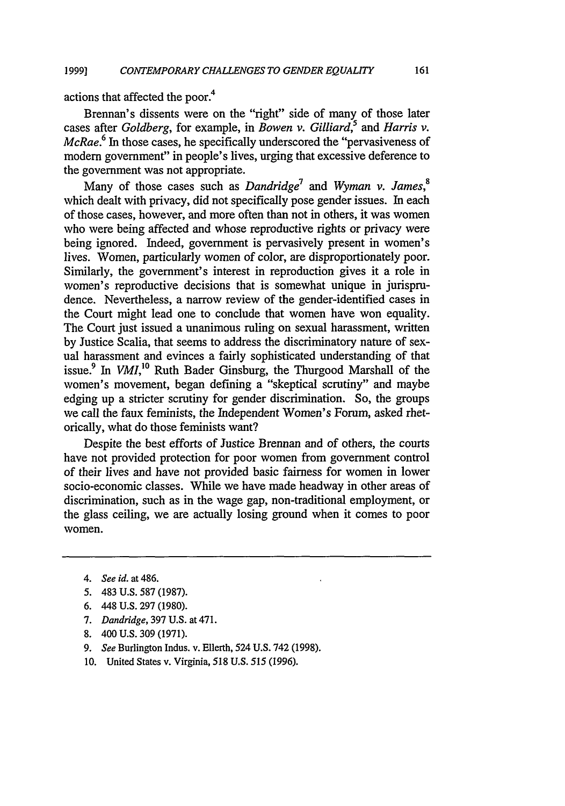actions that affected the poor.<sup>4</sup>

Brennan's dissents were on the "right" side of many of those later cases after *Goldberg*, for example, in *Bowen v. Gilliard*,<sup>5</sup> and *Harris v. McRae.*<sup>6</sup> In those cases, he specifically underscored the "pervasiveness of modem government" in people's lives, urging that excessive deference to the government was not appropriate.

Many of those cases such as *Dandridge*<sup>7</sup> and *Wyman v. James*,<sup>8</sup> which dealt with privacy, did not specifically pose gender issues. In each of those cases, however, and more often than not in others, it was women who were being affected and whose reproductive rights or privacy were being ignored. Indeed, government is pervasively present in women's lives. Women, particularly women of color, are disproportionately poor. Similarly, the government's interest in reproduction gives it a role in women's reproductive decisions that is somewhat unique in jurisprudence. Nevertheless, a narrow review of the gender-identified cases in the Court might lead one to conclude that women have won equality. The Court just issued a unanimous ruling on sexual harassment, written by Justice Scalia, that seems to address the discriminatory nature of sexual harassment and evinces a fairly sophisticated understanding of that issue.<sup>9</sup> In *VMI*,<sup>10</sup> Ruth Bader Ginsburg, the Thurgood Marshall of the women's movement, began defining a "skeptical scrutiny" and maybe edging up a stricter scrutiny for gender discrimination. So, the groups we call the faux feminists, the Independent Women's Forum, asked rhetorically, what do those feminists want?

Despite the best efforts of Justice Brennan and of others, the courts have not provided protection for poor women from government control of their lives and have not provided basic fairness for women in lower socio-economic classes. While we have made headway in other areas of discrimination, such as in the wage gap, non-traditional employment, or the glass ceiling, we are actually losing ground when it comes to poor women.

- *4. See id. at 486.*
- 5. 483 U.S. 587 (1987).
- 6. 448 U.S. 297 (1980).
- *7. Dandridge,* 397 U.S. at 471.
- 8. 400 U.S. 309 (1971).
- *9. See* Burlington Indus. v. Ellerth, 524 U.S. 742 (1998).
- 10. United States v. Virginia, 518 U.S. *515* (1996).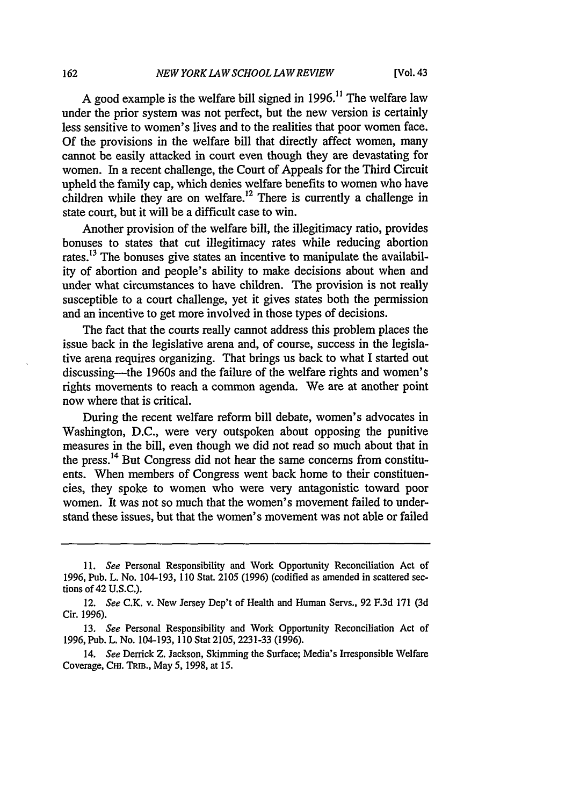A good example is the welfare bill signed in  $1996$ .<sup>11</sup> The welfare law under the prior system was not perfect, but the new version is certainly less sensitive to women's lives and to the realities that poor women face. Of the provisions in the welfare bill that directly affect women, many cannot be easily attacked in court even though they are devastating for women. In a recent challenge, the Court of Appeals for the Third Circuit upheld the family cap, which denies welfare benefits to women who have children while they are on welfare.<sup>12</sup> There is currently a challenge in state court, but it will be a difficult case to win.

Another provision of the welfare bill, the illegitimacy ratio, provides bonuses to states that cut illegitimacy rates while reducing abortion rates.<sup>13</sup> The bonuses give states an incentive to manipulate the availability of abortion and people's ability to make decisions about when and under what circumstances to have children. The provision is not really susceptible to a court challenge, yet it gives states both the permission and an incentive to get more involved in those types of decisions.

The fact that the courts really cannot address this problem places the issue back in the legislative arena and, of course, success in the legislative arena requires organizing. That brings us back to what I started out discussing—the 1960s and the failure of the welfare rights and women's rights movements to reach a common agenda. We are at another point now where that is critical.

During the recent welfare reform bill debate, women's advocates in Washington, D.C., were very outspoken about opposing the punitive measures in the bill, even though we did not read so much about that in the press.<sup>14</sup> But Congress did not hear the same concerns from constituents. When members of Congress went back home to their constituencies, they spoke to women who were very antagonistic toward poor women. It was not so much that the women's movement failed to understand these issues, but that the women's movement was not able or failed

*<sup>11.</sup> See* Personal Responsibility and Work Opportunity Reconciliation Act of 1996, Pub. L. No. 104-193, 110 Stat. 2105 (1996) (codified as amended in scattered sections of 42 **U.S.C.).**

*<sup>12.</sup> See* C.K. v. New Jersey Dep't of Health and Human Servs., 92 F.3d 171 (3d Cir. 1996).

<sup>13.</sup> *See* Personal Responsibility and Work Opportunity Reconciliation Act of 1996, Pub. L. No. 104-193, 110 Stat 2105, 2231-33 (1996).

<sup>14.</sup> *See* Derrick Z. Jackson, Skimming the Surface; Media's Irresponsible Welfare Coverage, **CHI.** TRIB., May 5, 1998, at 15.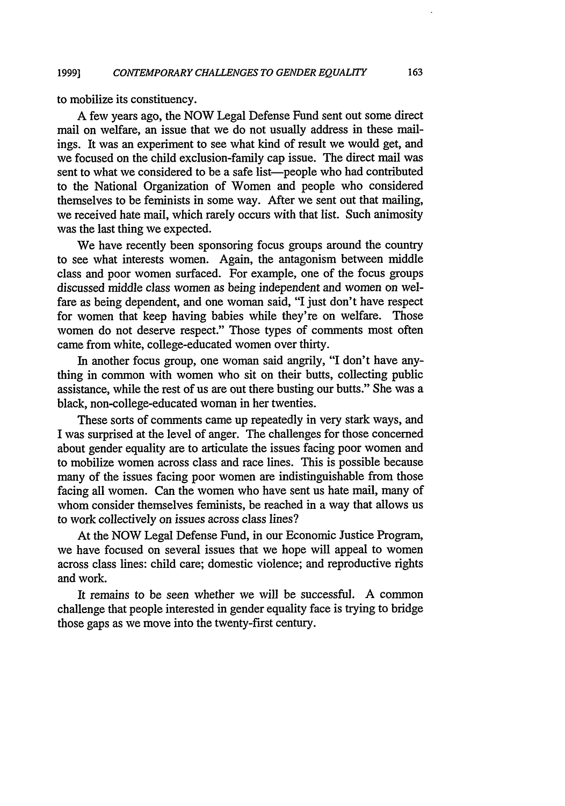to mobilize its constituency.

**A** few years ago, the NOW Legal Defense Fund sent out some direct mail on welfare, an issue that we do not usually address in these mailings. It was an experiment to see what kind of result we would get, and we focused on the child exclusion-family cap issue. The direct mail was sent to what we considered to be a safe list—people who had contributed to the National Organization of Women and people who considered themselves to be feminists in some way. After we sent out that mailing, we received hate mail, which rarely occurs with that list. Such animosity was the last thing we expected.

We have recently been sponsoring focus groups around the country to see what interests women. Again, the antagonism between middle class and poor women surfaced. For example, one of the focus groups discussed middle class women as being independent and women on welfare as being dependent, and one woman said, "I just don't have respect for women that keep having babies while they're on welfare. Those women do not deserve respect." Those types of comments most often came from white, college-educated women over thirty.

In another focus group, one woman said angrily, "I don't have anything in common with women who sit on their butts, collecting public assistance, while the rest of us are out there busting our butts." She was a black, non-college-educated woman in her twenties.

These sorts of comments came up repeatedly in very stark ways, and I was surprised at the level of anger. The challenges for those concerned about gender equality are to articulate the issues facing poor women and to mobilize women across class and race lines. This is possible because many of the issues facing poor women are indistinguishable from those facing all women. Can the women who have sent us hate mail, many of whom consider themselves feminists, be reached in a way that allows us to work collectively on issues across class lines?

At the NOW Legal Defense Fund, in our Economic Justice Program, we have focused on several issues that we hope will appeal to women across class lines: child care; domestic violence; and reproductive rights and work.

It remains to be seen whether we will be successful. A common challenge that people interested in gender equality face is trying to bridge those gaps as we move into the twenty-first century.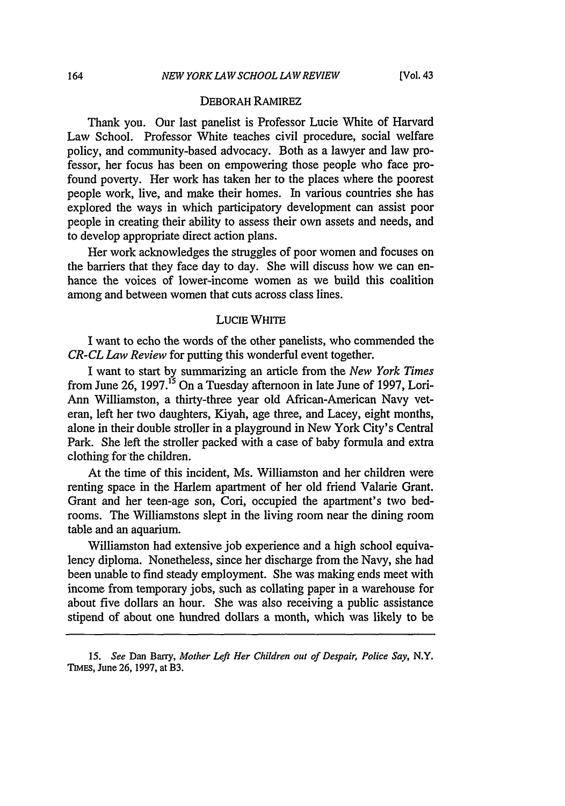#### DEBORAH RAMIREZ

Thank you. Our last panelist is Professor Lucie White of Harvard Law School. Professor White teaches civil procedure, social welfare policy, and community-based advocacy. Both as a lawyer and law professor, her focus has been on empowering those people who face profound poverty. Her work has taken her to the places where the poorest people work, live, and make their homes. In various countries she has explored the ways in which participatory development can assist poor people in creating their ability to assess their own assets and needs, and to develop appropriate direct action plans.

Her work acknowledges the struggles of poor women and focuses on the barriers that they face day to day. She will discuss how we can enhance the voices of lower-income women as we build this coalition among and between women that cuts across class lines.

## LUCIE WHITE

I want to echo the words of the other panelists, who commended the *CR-CL Law Review* for putting this wonderful event together.

I want to start by summarizing an article from the *New York Times* from June 26, 1997.<sup>15</sup> On a Tuesday afternoon in late June of 1997, Lori-Ann Williamston, a thirty-three year old African-American Navy veteran, left her two daughters, Kiyah, age three, and Lacey, eight months, alone in their double stroller in a playground in New York City's Central Park. She left the stroller packed with a case of baby formula and extra clothing for'the children.

At the time of this incident, Ms. Williamston and her children were renting space in the Harlem apartment of her old friend Valarie Grant. Grant and her teen-age son, Cori, occupied the apartment's two bedrooms. The Williamstons slept in the living room near the dining room table and an aquarium.

Williamston had extensive **job** experience and a high school equivalency diploma. Nonetheless, since her discharge from the Navy, she had been unable to find steady employment. She was making ends meet with income from temporary jobs, such as collating paper in a warehouse for about five dollars an hour. She was also receiving a public assistance stipend of about one hundred dollars a month, which was likely to be

*<sup>15.</sup> See* Dan Barry, *Mother Left Her Children out of Despair, Police Say,* N.Y. **TIMES,** June **26, 1997,** at B3.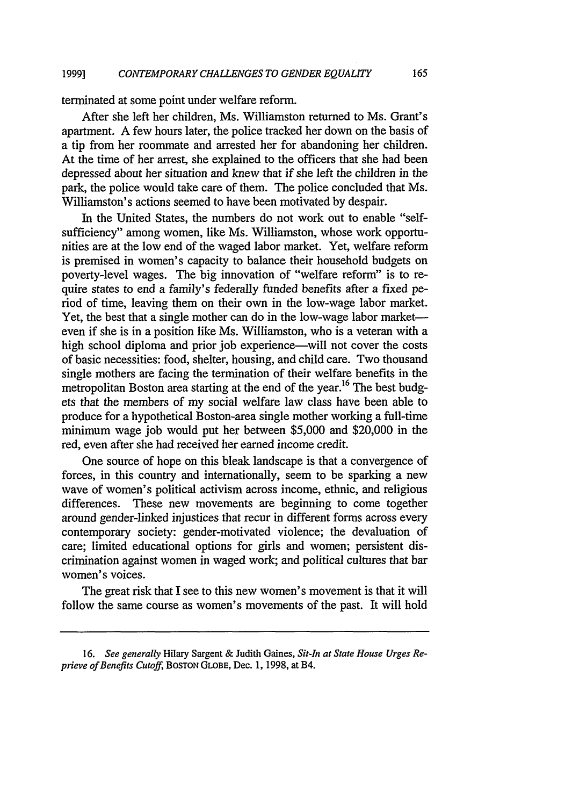terminated at some point under welfare reform.

After she left her children, Ms. Williamston returned to Ms. Grant's apartment. A few hours later, the police tracked her down on the basis of a tip from her roommate and arrested her for abandoning her children. At the time of her arrest, she explained to the officers that she had been depressed about her situation and knew that if she left the children in the park, the police would take care of them. The police concluded that Ms. Williamston's actions seemed to have been motivated by despair.

In the United States, the numbers do not work out to enable "selfsufficiency" among women, like Ms. Williamston, whose work opportunities are at the low end of the waged labor market. Yet, welfare reform is premised in women's capacity to balance their household budgets on poverty-level wages. The big innovation of "welfare reform" is to require states to end a family's federally funded benefits after a fixed period of time, leaving them on their own in the low-wage labor market. Yet, the best that a single mother can do in the low-wage labor marketeven if she is in a position like Ms. Williamston, who is a veteran with a high school diploma and prior job experience—will not cover the costs of basic necessities: food, shelter, housing, and child care. Two thousand single mothers are facing the termination of their welfare benefits in the metropolitan Boston area starting at the end of the year.<sup>16</sup> The best budgets that the members of my social welfare law class have been able to produce for a hypothetical Boston-area single mother working a full-time minimum wage job would put her between \$5,000 and \$20,000 in the red, even after she had received her earned income credit.

One source of hope on this bleak landscape is that a convergence of forces, in this country and internationally, seem to be sparking a new wave of women's political activism across income, ethnic, and religious differences. These new movements are beginning to come together around gender-linked injustices that recur in different forms across every contemporary society: gender-motivated violence; the devaluation of care; limited educational options for girls and women; persistent discrimination against women in waged work; and political cultures that bar women's voices.

The great risk that I see to this new women's movement is that it will follow the same course as women's movements of the past. It will hold

*<sup>16.</sup> See generally* Hilary Sargent & Judith Gaines, *Sit-In at State House Urges Reprieve of Benefits Cutoff,* **BOSTON GLOBE,** Dec. 1, 1998, at B4.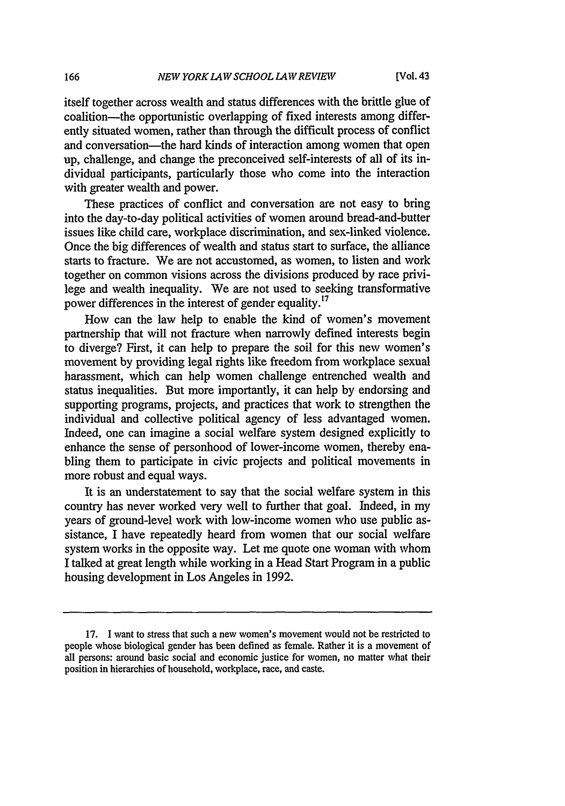itself together across wealth and status differences with the brittle glue of coalition-the opportunistic overlapping of fixed interests among differently situated women, rather than through the difficult process of conflict and conversation—the hard kinds of interaction among women that open up, challenge, and change the preconceived self-interests of all of its individual participants, particularly those who come into the interaction with greater wealth and power.

These practices of conflict and conversation are not easy to bring into the day-to-day political activities of women around bread-and-butter issues like child care, workplace discrimination, and sex-linked violence. Once the big differences of wealth and status start to surface, the alliance starts to fracture. We are not accustomed, as women, to listen and work together on common visions across the divisions produced by race privilege and wealth inequality. We are not used to seeking transformative power differences in the interest of gender equality.<sup>17</sup>

How can the law help to enable the kind of women's movement partnership that will not fracture when narrowly defined interests begin to diverge? First, it can help to prepare the soil for this new women's movement by providing legal rights like freedom from workplace sexual harassment, which can help women challenge entrenched wealth and status inequalities. But more importantly, it can help by endorsing and supporting programs, projects, and practices that work to strengthen the individual and collective political agency of less advantaged women. Indeed, one can imagine a social welfare system designed explicitly to enhance the sense of personhood of lower-income women, thereby enabling them to participate in civic projects and political movements in more robust and equal ways.

It is an understatement to say that the social welfare system in this country has never worked very well to further that goal. Indeed, in my years of ground-level work with low-income women who use public assistance, I have repeatedly heard from women that our social welfare system works in the opposite way. Let me quote one woman with whom I talked at great length while working in a Head Start Program in a public housing development in Los Angeles in 1992.

**<sup>17.</sup> I** want to stress that such a new women's movement would not be restricted to people whose biological gender has been defined as female. Rather it is a movement of all persons: around basic social and economic justice for women, no matter what their position in hierarchies of household, workplace, race, and caste.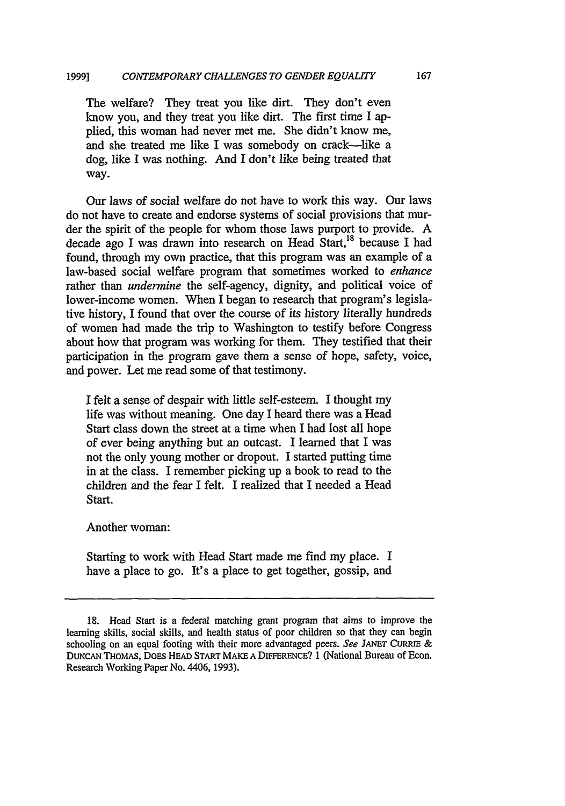The welfare? They treat you like dirt. They don't even know you, and they treat you like dirt. The first time **I** applied, this woman had never met me. She didn't know me, and she treated me like I was somebody on crack-like a dog, like I was nothing. And I don't like being treated that way.

Our laws of social welfare do not have to work this way. Our laws do not have to create and endorse systems of social provisions that murder the spirit of the people for whom those laws purport to provide. A decade ago I was drawn into research on Head Start,<sup>18</sup> because I had found, through my own practice, that this program was an example of a law-based social welfare program that sometimes worked to *enhance* rather than *undermine* the self-agency, dignity, and political voice of lower-income women. When I began to research that program's legislative history, I found that over the course of its history literally hundreds of women had made the trip to Washington to testify before Congress about how that program was working for them. They testified that their participation in the program gave them a sense of hope, safety, voice, and power. Let me read some of that testimony.

I felt a sense of despair with little self-esteem. I thought my life was without meaning. One day I heard there was a Head Start class down the street at a time when I had lost all hope of ever being anything but an outcast. I learned that I was not the only young mother or dropout. I started putting time in at the class. I remember picking up a book to read to the children and the fear I felt. I realized that I needed a Head Start.

Another woman:

Starting to work with Head Start made me find my place. I have a place to go. It's a place to get together, gossip, and

<sup>18.</sup> Head Start is a federal matching grant program that aims to improve the learning skills, social skills, and health status of poor children so that they can begin schooling on an equal footing vith their more advantaged peers. *See* **JANEr** CURRIE **& DUNCAN THOMAS,** DOES HEAD START MAKE **A** DIFERENCE? 1 (National Bureau of Econ. Research Working Paper No. 4406, 1993).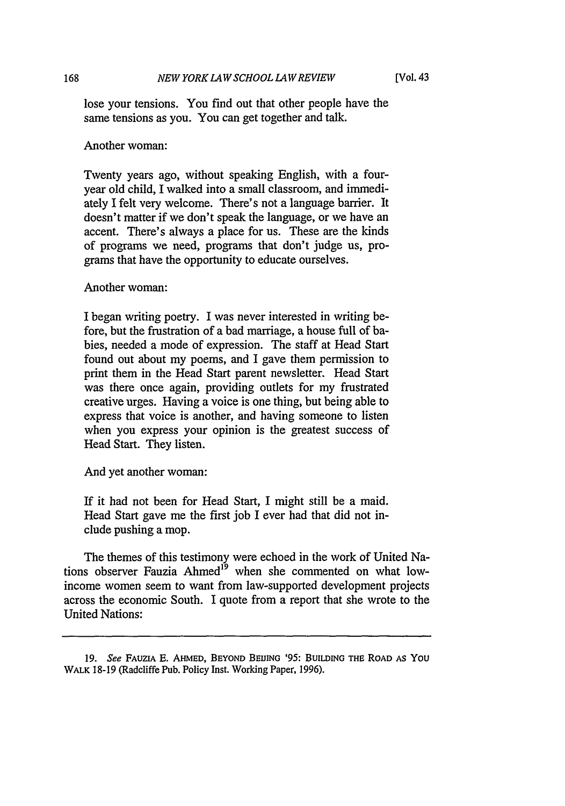lose your tensions. You find out that other people have the same tensions as you. You can get together and talk.

Another woman:

Twenty years ago, without speaking English, with a fouryear old child, I walked into a small classroom, and immediately I felt very welcome. There's not a language barrier. It doesn't matter if we don't speak the language, or we have an accent. There's always a place for us. These are the kinds of programs we need, programs that don't judge us, programs that have the opportunity to educate ourselves.

Another woman:

I began writing poetry. I was never interested in writing before, but the frustration of a bad marriage, a house full of babies, needed a mode of expression. The staff at Head Start found out about my poems, and I gave them permission to print them in the Head Start parent newsletter. Head Start was there once again, providing outlets for my frustrated creative urges. Having a voice is one thing, but being able to express that voice is another, and having someone to listen when you express your opinion is the greatest success of Head Start. They listen.

And yet another woman:

If it had not been for Head Start, I might still be a maid. Head Start gave me the first job I ever had that did not include pushing a mop.

The themes of this testimony were echoed in the work of United Nations observer Fauzia Ahmed<sup>19</sup> when she commented on what lowincome women seem to want from law-supported development projects across the economic South. I quote from a report that she wrote to the United Nations:

168

**<sup>19.</sup>** *See* FAUZIA **E.** AHMED, BEYOND BEllING '95: BUILDING THE ROAD AS YOU WALK 18-19 (Radcliffe Pub. Policy Inst. Working Paper, 1996).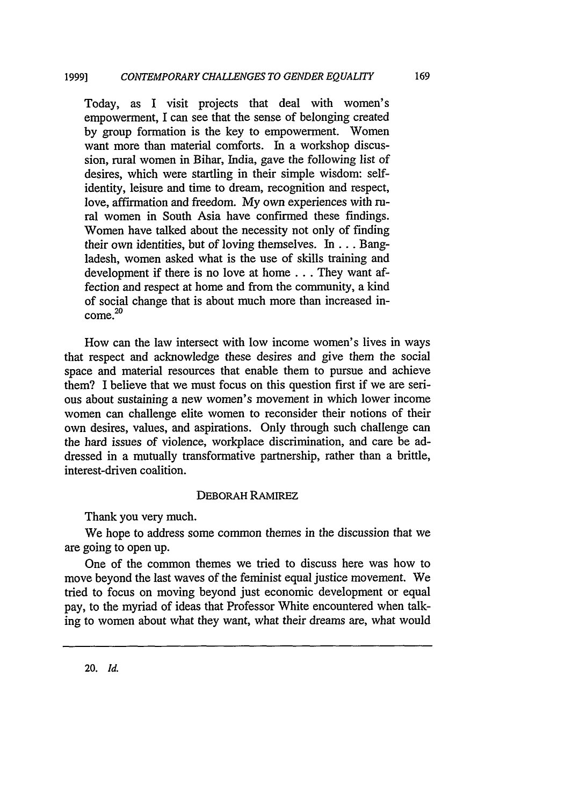Today, as I visit projects that deal with women's empowerment, I can see that the sense of belonging created by group formation is the key to empowerment. Women want more than material comforts. In a workshop discussion, rural women in Bihar, India, gave the following list of desires, which were startling in their simple wisdom: selfidentity, leisure and time to dream, recognition and respect, love, affirmation and freedom. My own experiences with rural women in South Asia have confirmed these findings. Women have talked about the necessity not only of finding their own identities, but of loving themselves. In ... Bangladesh, women asked what is the use of skills training and development if there is no love at home **...** They want affection and respect at home and from the community, a kind of social change that is about much more than increased in- $\frac{1}{20}$ 

How can the law intersect with low income women's lives in ways that respect and acknowledge these desires and give them the social space and material resources that enable them to pursue and achieve them? I believe that we must focus on this question first if we are serious about sustaining a new women's movement in which lower income women can challenge elite women to reconsider their notions of their own desires, values, and aspirations. Only through such challenge can the hard issues of violence, workplace discrimination, and care be addressed in a mutually transformative partnership, rather than a brittle, interest-driven coalition.

# DEBORAH RAMIREZ

Thank you very much.

We hope to address some common themes in the discussion that we are going to open up.

One of the common themes we tried to discuss here was how to move beyond the last waves of the feminist equal justice movement. We tried to focus on moving beyond just economic development or equal pay, to the myriad of ideas that Professor White encountered when talking to women about what they want, what their dreams are, what would

20. *Id.*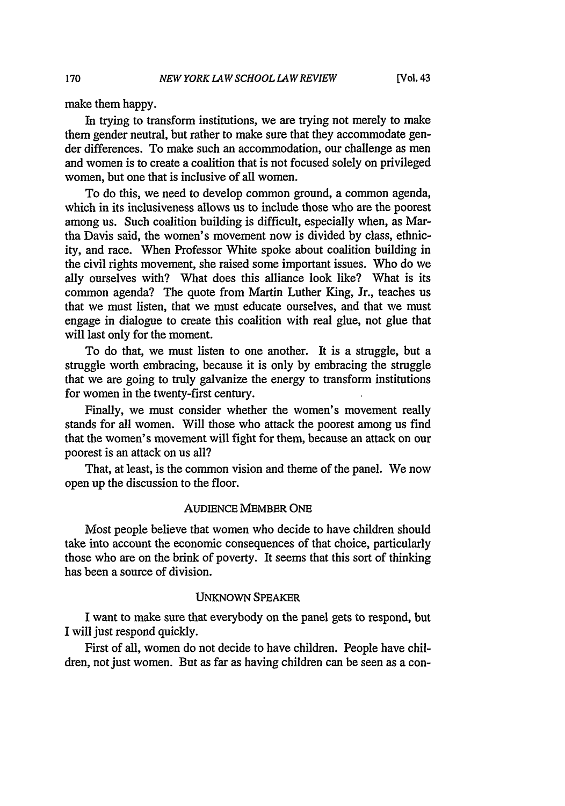make them happy.

In trying to transform institutions, we are trying not merely to make them gender neutral, but rather to make sure that they accommodate gender differences. To make such an accommodation, our challenge as men and women is to create a coalition that is not focused solely on privileged women, but one that is inclusive of all women.

To do this, we need to develop common ground, a common agenda, which in its inclusiveness allows us to include those who are the poorest among us. Such coalition building is difficult, especially when, as Martha Davis said, the women's movement now is divided by class, ethnicity, and race. When Professor White spoke about coalition building in the civil rights movement, she raised some important issues. Who do we ally ourselves with? What does this alliance look like? What is its common agenda? The quote from Martin Luther King, Jr., teaches us that we must listen, that we must educate ourselves, and that we must engage in dialogue to create this coalition with real glue, not glue that will last only for the moment.

To do that, we must listen to one another. It is a struggle, but a struggle worth embracing, because it is only by embracing the struggle that we are going to truly galvanize the energy to transform institutions for women in the twenty-first century.

Finally, we must consider whether the women's movement really stands for all women. Will those who attack the poorest among us find that the women's movement will fight for them, because an attack on our poorest is an attack on us all?

That, at least, is the common vision and theme of the panel. We now open up the discussion to the floor.

#### AUDIENCE MEMBER ONE

Most people believe that women who decide to have children should take into account the economic consequences of that choice, particularly those who are on the brink of poverty. It seems that this sort of thinking has been a source of division.

#### UNKNOWN SPEAKER

I want to make sure that everybody on the panel gets to respond, but I will just respond quickly.

First of all, women do not decide to have children. People have children, not just women. But as far as having children can be seen as a con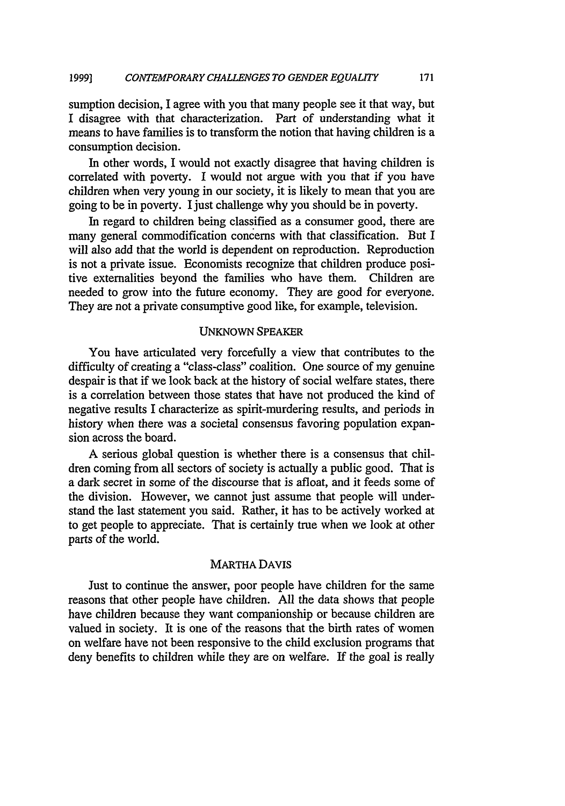sumption decision, I agree with you that many people see it that way, but I disagree with that characterization. Part of understanding what it means to have families is to transform the notion that having children is a consumption decision.

In other words, I would not exactly disagree that having children is correlated with poverty. I would not argue with you that if you have children when very young in our society, it is likely to mean that you are going to be in poverty. I just challenge why you should be in poverty.

In regard to children being classified as a consumer good, there are many general commodification concerns with that classification. But I will also add that the world is dependent on reproduction. Reproduction is not a private issue. Economists recognize that children produce positive externalities beyond the families who have them. Children are needed to grow into the future economy. They are good for everyone. They are not a private consumptive good like, for example, television.

#### UNKNOWN SPEAKER

You have articulated very forcefully a view that contributes to the difficulty of creating a "class-class" coalition. One source of my genuine despair is that if we look back at the history of social welfare states, there is a correlation between those states that have not produced the kind of negative results I characterize as spirit-murdering results, and periods in history when there was a societal consensus favoring population expansion across the board.

A serious global question is whether there is a consensus that children coming from all sectors of society is actually a public good. That is a dark secret in some of the discourse that is afloat, and it feeds some of the division. However, we cannot just assume that people will understand the last statement you said. Rather, it has to be actively worked at to get people to appreciate. That is certainly true when we look at other parts of the world.

#### MARTHA DAVIS

Just to continue the answer, poor people have children for the same reasons that other people have children. All the data shows that people have children because they want companionship or because children are valued in society. It is one of the reasons that the birth rates of women on welfare have not been responsive to the child exclusion programs that deny benefits to children while they are on welfare. If the goal is really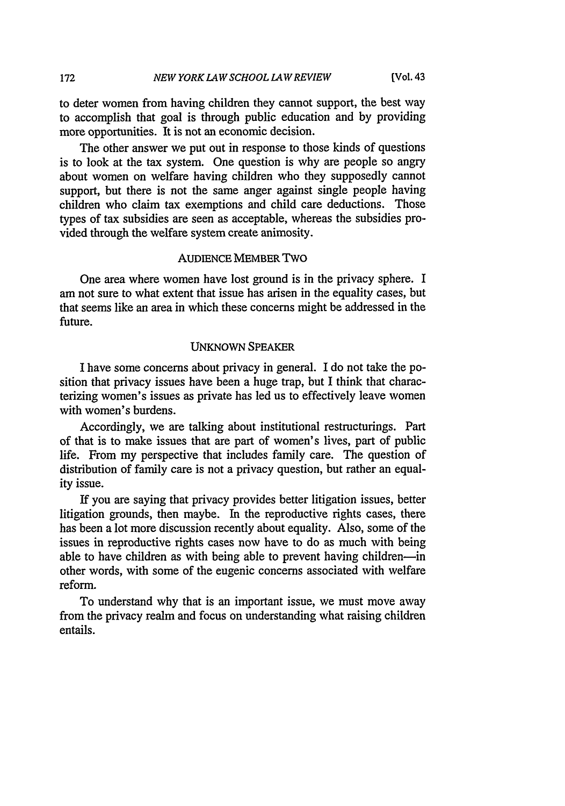to deter women from having children they cannot support, the best way to accomplish that goal is through public education and by providing more opportunities. It is not an economic decision.

The other answer we put out in response to those kinds of questions is to look at the tax system. One question is why are people so angry about women on welfare having children who they supposedly cannot support, but there is not the same anger against single people having children who claim tax exemptions and child care deductions. Those types of tax subsidies are seen as acceptable, whereas the subsidies provided through the welfare system create animosity.

#### AUDIENCE MEMBER TWO

One area where women have lost ground is in the privacy sphere. I am not sure to what extent that issue has arisen in the equality cases, but that seems like an area in which these concerns might be addressed in the future.

#### UNKNOWN SPEAKER

I have some concerns about privacy in general. I do not take the position that privacy issues have been a huge trap, but I think that characterizing women's issues as private has led us to effectively leave women with women's burdens.

Accordingly, we are talking about institutional restructurings. Part of that is to make issues that are part of women's lives, part of public life. From my perspective that includes family care. The question of distribution of family care is not a privacy question, but rather an equality issue.

If you are saying that privacy provides better litigation issues, better litigation grounds, then maybe. In the reproductive rights cases, there has been a lot more discussion recently about equality. Also, some of the issues in reproductive rights cases now have to do as much with being able to have children as with being able to prevent having children-in other words, with some of the eugenic concerns associated with welfare reform.

To understand why that is an important issue, we must move away from the privacy realm and focus on understanding what raising children entails.

172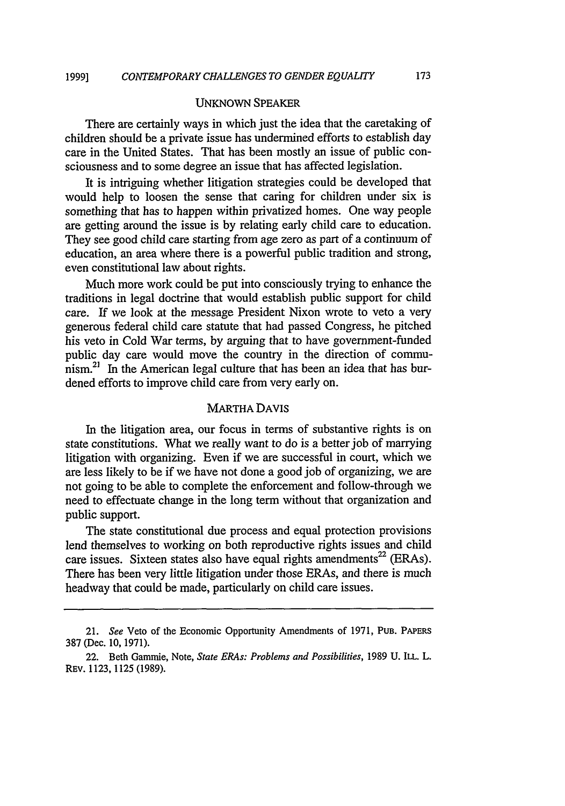#### UNKNOWN SPEAKER

There are certainly ways in which just the idea that the caretaking of children should be a private issue has undermined efforts to establish day care in the United States. That has been mostly an issue of public consciousness and to some degree an issue that has affected legislation.

It is intriguing whether litigation strategies could be developed that would help to loosen the sense that caring for children under six is something that has to happen within privatized homes. One way people are getting around the issue is by relating early child care to education. They see good child care starting from age zero as part of a continuum of education, an area where there is a powerful public tradition and strong, even constitutional law about rights.

Much more work could be put into consciously trying to enhance the traditions in legal doctrine that would establish public support for child care. If we look at the message President Nixon wrote to veto a very generous federal child care statute that had passed Congress, he pitched his veto in Cold War terms, by arguing that to have government-funded public day care would move the country in the direction of commu $n_{\text{sim}}^{21}$  In the American legal culture that has been an idea that has burdened efforts to improve child care from very early on.

## MARTHA DAVIS

In the litigation area, our focus in terms of substantive rights is on state constitutions. What we really want to do is a better job of marrying litigation with organizing. Even if we are successful in court, which we are less likely to be if we have not done a good job of organizing, we are not going to be able to complete the enforcement and follow-through we need to effectuate change in the long term without that organization and public support.

The state constitutional due process and equal protection provisions lend themselves to working on both reproductive rights issues and child care issues. Sixteen states also have equal rights amendments<sup>22</sup> (ERAs). There has been very little litigation under those ERAs, and there is much headway that could be made, particularly on child care issues.

<sup>21.</sup> *See* Veto of the Economic Opportunity Amendments of 1971, **PUB.** PAPERS 387 (Dec. 10, 1971).

<sup>22.</sup> Beth Gammie, Note, *State ERAs: Problems and Possibilities,* 1989 U. ILL. L. REV. 1123, 1125 (1989).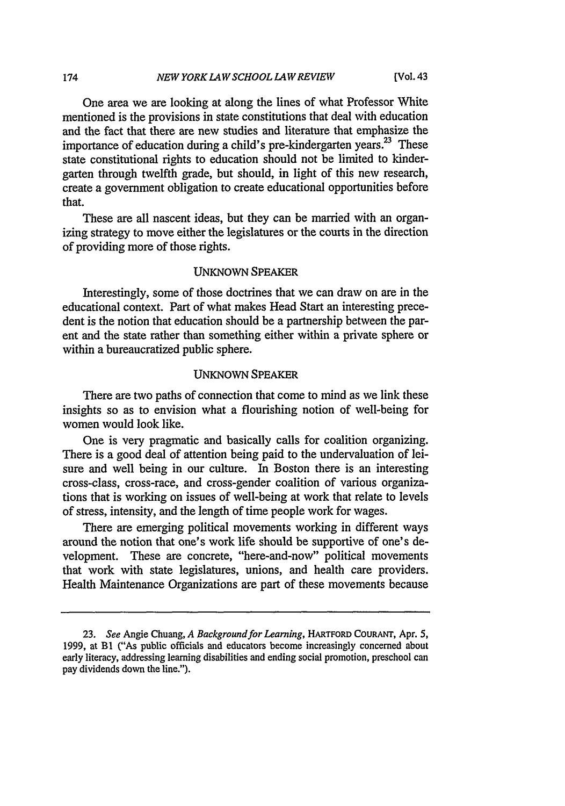One area we are looking at along the lines of what Professor White mentioned is the provisions in state constitutions that deal with education and the fact that there are new studies and literature that emphasize the importance of education during a child's pre-kindergarten years.<sup>23</sup> These state constitutional rights to education should not be limited to kindergarten through twelfth grade, but should, in light of this new research, create a government obligation to create educational opportunities before that.

These are all nascent ideas, but they can be married with an organizing strategy to move either the legislatures or the courts in the direction of providing more of those rights.

# **UNKNOWN** SPEAKER

Interestingly, some of those doctrines that we can draw on are in the educational context. Part of what makes Head Start an interesting precedent is the notion that education should be a partnership between the parent and the state rather than something either within a private sphere or within a bureaucratized public sphere.

#### UNKNOWN SPEAKER

There are two paths of connection that come to mind as we link these insights so as to envision what a flourishing notion of well-being for women would look like.

One is very pragmatic and basically calls for coalition organizing. There is a good deal of attention being paid to the undervaluation of leisure and well being in our culture. In Boston there is an interesting cross-class, cross-race, and cross-gender coalition of various organizations that is working on issues of well-being at work that relate to levels of stress, intensity, and the length of time people work for wages.

There are emerging political movements working in different ways around the notion that one's work life should be supportive of one's development. These are concrete, "here-and-now" political movements that work with state legislatures, unions, and health care providers. Health Maintenance Organizations are part of these movements because

174

**<sup>23.</sup>** *See* Angie Chuang, *A Background for Learning,* HARTFORD **COURANT,** Apr. *5,* **1999,** at BI ("As public officials and educators become increasingly concerned about early literacy, addressing learning disabilities and ending social promotion, preschool can pay dividends down the line.").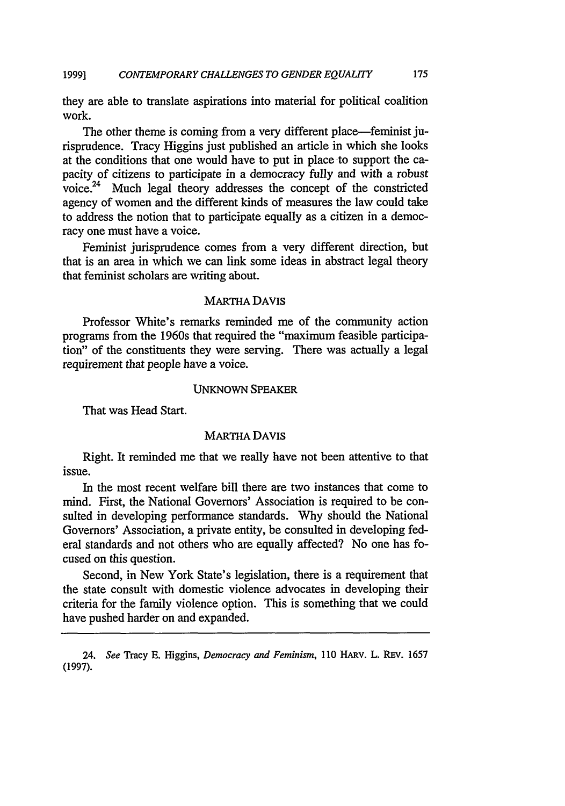they are able to translate aspirations into material for political coalition work.

The other theme is coming from a very different place—feminist jurisprudence. Tracy Higgins just published an article in which she looks at the conditions that one would have to put in place to support the capacity of citizens to participate in a democracy fully and with a robust voice.24 Much legal theory addresses the concept of the constricted agency of women and the different kinds of measures the law could take to address the notion that to participate equally as a citizen in a democracy one must have a voice.

Feminist jurisprudence comes from a very different direction, but that is an area in which we can link some ideas in abstract legal theory that feminist scholars are writing about.

#### MARTHA DAVIS

Professor White's remarks reminded me of the community action programs from the 1960s that required the "maximum feasible participation" of the constituents they were serving. There was actually a legal requirement that people have a voice.

#### UNKNOWN SPEAKER

That was Head Start.

#### MARTHA DAVIS

Right. It reminded me that we really have not been attentive to that issue.

In the most recent welfare bill there are two instances that come to mind. First, the National Governors' Association is required to be consulted in developing performance standards. Why should the National Governors' Association, a private entity, be consulted in developing federal standards and not others who are equally affected? No one has focused on this question.

Second, in New York State's legislation, there is a requirement that the state consult with domestic violence advocates in developing their criteria for the family violence option. This is something that we could have pushed harder on and expanded.

<sup>24.</sup> *See* Tracy E. Higgins, *Democracy and Feminism*, 110 HARV. L. REV. 1657 (1997).